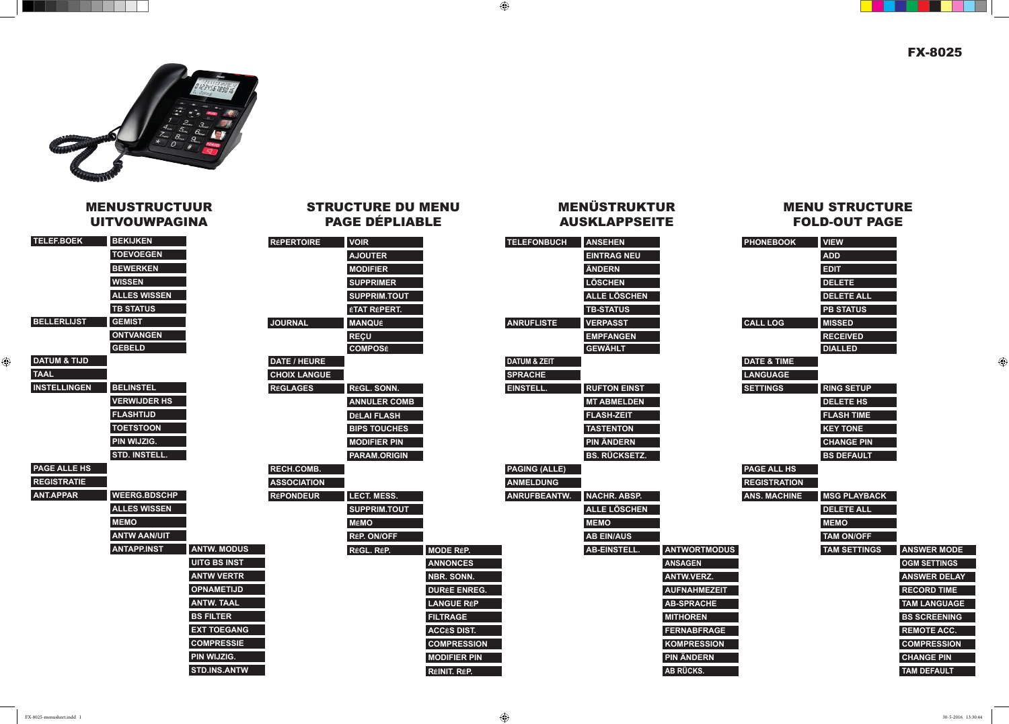

<u> a seria de la pro</u>

|                         | VI I VVVVITAVIIVA                       |                     |                     | <u> Fave defeiadee</u>                     |                     |                         | AVVINLAF FVLI I L                     |                     |
|-------------------------|-----------------------------------------|---------------------|---------------------|--------------------------------------------|---------------------|-------------------------|---------------------------------------|---------------------|
| <b>TELEF.BOEK</b>       | <b>BEKIJKEN</b>                         |                     | <b>RÉPERTOIRE</b>   | <b>VOIR</b>                                |                     | <b>TELEFONBUCH</b>      | <b>ANSEHEN</b>                        |                     |
|                         | <b>TOEVOEGEN</b>                        |                     |                     | <b>AJOUTER</b>                             |                     |                         | <b>EINTRAG NEU</b>                    |                     |
|                         | <b>BEWERKEN</b>                         |                     |                     | <b>MODIFIER</b>                            |                     |                         | <b>ÄNDERN</b>                         |                     |
|                         | <b>WISSEN</b>                           |                     |                     | <b>SUPPRIMER</b>                           |                     |                         | <b>LÖSCHEN</b>                        |                     |
|                         | <b>ALLES WISSEN</b>                     |                     |                     | <b>SUPPRIM.TOUT</b>                        |                     |                         | <b>ALLE LÖSCHEN</b>                   |                     |
|                         | <b>TB STATUS</b>                        |                     |                     | <b>ÉTAT RÉPERT.</b>                        |                     |                         | <b>TB-STATUS</b>                      |                     |
| <b>BELLERLIJST</b>      | <b>GEMIST</b>                           |                     | <b>JOURNAL</b>      | <b>MANQUÉ</b>                              |                     | <b>ANRUFLISTE</b>       | <b>VERPASST</b>                       |                     |
|                         | <b>ONTVANGEN</b>                        |                     |                     | REÇU                                       |                     |                         | <b>EMPFANGEN</b>                      |                     |
|                         | <b>GEBELD</b>                           |                     |                     | <b>COMPOSÉ</b>                             |                     |                         | <b>GEWÄHLT</b>                        |                     |
| <b>DATUM &amp; TIJD</b> |                                         |                     | <b>DATE / HEURE</b> |                                            |                     | <b>DATUM &amp; ZEIT</b> |                                       |                     |
| <b>TAAL</b>             |                                         |                     | <b>CHOIX LANGUE</b> |                                            |                     | <b>SPRACHE</b>          |                                       |                     |
| <b>INSTELLINGEN</b>     | <b>BELINSTEL</b>                        |                     | <b>RÉGLAGES</b>     | RÉGL. SONN.                                |                     | <b>EINSTELL.</b>        | <b>RUFTON EINST</b>                   |                     |
|                         | <b>VERWIJDER HS</b><br><b>FLASHTIJD</b> |                     |                     | <b>ANNULER COMB</b>                        |                     |                         | <b>MT ABMELDEN</b>                    |                     |
|                         | <b>TOETSTOON</b>                        |                     |                     | <b>DÉLAI FLASH</b>                         |                     |                         | <b>FLASH-ZEIT</b>                     |                     |
|                         | PIN WIJZIG.                             |                     |                     | <b>BIPS TOUCHES</b><br><b>MODIFIER PIN</b> |                     |                         | <b>TASTENTON</b><br><b>PIN ÄNDERN</b> |                     |
|                         | <b>STD. INSTELL.</b>                    |                     |                     | <b>PARAM.ORIGIN</b>                        |                     |                         | <b>BS. RÜCKSETZ.</b>                  |                     |
| <b>PAGE ALLE HS</b>     |                                         |                     | <b>RECH.COMB.</b>   |                                            |                     | <b>PAGING (ALLE)</b>    |                                       |                     |
| <b>REGISTRATIE</b>      |                                         |                     | <b>ASSOCIATION</b>  |                                            |                     | <b>ANMELDUNG</b>        |                                       |                     |
| <b>ANT.APPAR</b>        | <b>WEERG.BDSCHP</b>                     |                     | <b>RÉPONDEUR</b>    | <b>LECT. MESS.</b>                         |                     | ANRUFBEANTW.            | <b>NACHR. ABSP.</b>                   |                     |
|                         | <b>ALLES WISSEN</b>                     |                     |                     | <b>SUPPRIM.TOUT</b>                        |                     |                         | <b>ALLE LÖSCHEN</b>                   |                     |
|                         | <b>MEMO</b>                             |                     |                     | <b>MÉMO</b>                                |                     |                         | <b>MEMO</b>                           |                     |
|                         | <b>ANTW AAN/UIT</b>                     |                     |                     | <b>RÉP. ON/OFF</b>                         |                     |                         | <b>AB EIN/AUS</b>                     |                     |
|                         | <b>ANTAPP.INST</b>                      | <b>ANTW. MODUS</b>  |                     | RÉGL. RÉP.                                 | <b>MODE RÉP.</b>    |                         | <b>AB-EINSTELL.</b>                   | <b>ANTWORTMODUS</b> |
|                         |                                         | <b>UITG BS INST</b> |                     |                                            | <b>ANNONCES</b>     |                         |                                       | <b>ANSAGEN</b>      |
|                         |                                         | <b>ANTW VERTR</b>   |                     |                                            | <b>NBR. SONN.</b>   |                         |                                       | <b>ANTW.VERZ.</b>   |
|                         |                                         | OPNAMETIJD          |                     |                                            | <b>DURÉE ENREG.</b> |                         |                                       | <b>AUFNAHMEZEIT</b> |
|                         |                                         | <b>ANTW. TAAL</b>   |                     |                                            | <b>LANGUE RÉP</b>   |                         |                                       | <b>AB-SPRACHE</b>   |
|                         |                                         | <b>BS FILTER</b>    |                     |                                            | <b>FILTRAGE</b>     |                         |                                       | <b>MITHOREN</b>     |
|                         |                                         | <b>EXT TOEGANG</b>  |                     |                                            | <b>ACCÈS DIST.</b>  |                         |                                       | <b>FERNABFRAGE</b>  |
|                         |                                         | <b>COMPRESSIE</b>   |                     |                                            | <b>COMPRESSION</b>  |                         |                                       | <b>KOMPRESSION</b>  |
|                         |                                         | PIN WIJZIG.         |                     |                                            | <b>MODIFIER PIN</b> |                         |                                       | <b>PIN ÄNDERN</b>   |
|                         |                                         | <b>STD.INS.ANTW</b> |                     |                                            | RÉINIT. RÉP.        |                         |                                       | AB RÜCKS.           |

MENÜSTRUKTUR **AUSKLAPPSEITE** 

## MENUSTRUCTUUR **UITVOUWPAGINA**

| <b>PHONEBOOK</b>       | <b>VIEW</b>         |                     |   |
|------------------------|---------------------|---------------------|---|
|                        | <b>ADD</b>          |                     |   |
|                        | <b>EDIT</b>         |                     |   |
|                        | <b>DELETE</b>       |                     |   |
|                        | <b>DELETE ALL</b>   |                     |   |
|                        | <b>PB STATUS</b>    |                     |   |
| <b>CALL LOG</b>        | <b>MISSED</b>       |                     |   |
|                        | <b>RECEIVED</b>     |                     |   |
|                        | <b>DIALLED</b>      |                     |   |
| <b>DATE &amp; TIME</b> |                     |                     | ⊕ |
| <b>LANGUAGE</b>        |                     |                     |   |
| <b>SETTINGS</b>        | <b>RING SETUP</b>   |                     |   |
|                        | <b>DELETE HS</b>    |                     |   |
|                        | <b>FLASH TIME</b>   |                     |   |
|                        | <b>KEY TONE</b>     |                     |   |
|                        | <b>CHANGE PIN</b>   |                     |   |
|                        | <b>BS DEFAULT</b>   |                     |   |
| <b>PAGE ALL HS</b>     |                     |                     |   |
| <b>REGISTRATION</b>    |                     |                     |   |
| <b>ANS. MACHINE</b>    | <b>MSG PLAYBACK</b> |                     |   |
|                        | <b>DELETE ALL</b>   |                     |   |
|                        | <b>MEMO</b>         |                     |   |
|                        | <b>TAM ON/OFF</b>   |                     |   |
|                        | <b>TAM SETTINGS</b> | <b>ANSWER MODE</b>  |   |
|                        |                     | <b>OGM SETTINGS</b> |   |
|                        |                     | <b>ANSWER DELAY</b> |   |
|                        |                     | <b>RECORD TIME</b>  |   |
|                        |                     | <b>TAM LANGUAGE</b> |   |
|                        |                     | <b>BS SCREENING</b> |   |
|                        |                     | <b>REMOTE ACC.</b>  |   |
|                        |                     | <b>COMPRESSION</b>  |   |
|                        |                     | <b>CHANGE PIN</b>   |   |
|                        |                     | <b>TAM DEFAULT</b>  |   |
|                        |                     |                     |   |

## MENU STRUCTURE FOLD-OUT PAGE

## STRUCTURE DU MENU PAGE DÉPLIABLE

FX-8025